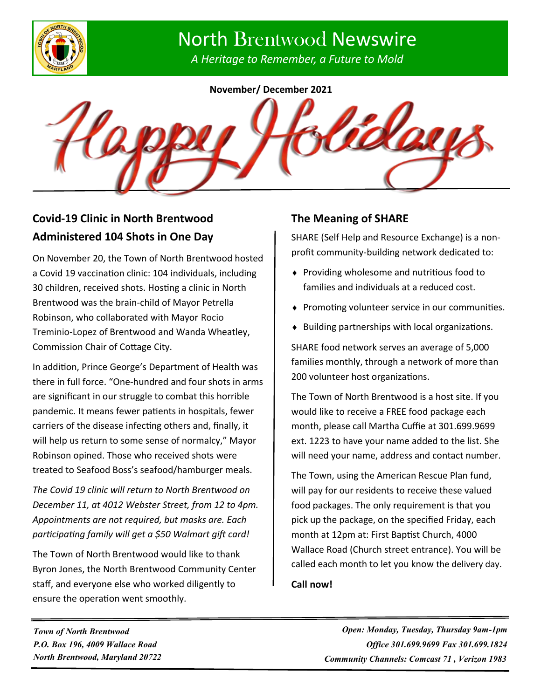

# North Brentwood Newswire

*A Heritage to Remember, a Future to Mold*

**November/ December 2021**



# **Covid-19 Clinic in North Brentwood Administered 104 Shots in One Day**

On November 20, the Town of North Brentwood hosted a Covid 19 vaccination clinic: 104 individuals, including 30 children, received shots. Hosting a clinic in North Brentwood was the brain-child of Mayor Petrella Robinson, who collaborated with Mayor Rocio Treminio-Lopez of Brentwood and Wanda Wheatley, Commission Chair of Cottage City.

In addition, Prince George's Department of Health was there in full force. "One-hundred and four shots in arms are significant in our struggle to combat this horrible pandemic. It means fewer patients in hospitals, fewer carriers of the disease infecting others and, finally, it will help us return to some sense of normalcy," Mayor Robinson opined. Those who received shots were treated to Seafood Boss's seafood/hamburger meals.

*The Covid 19 clinic will return to North Brentwood on December 11, at 4012 Webster Street, from 12 to 4pm. Appointments are not required, but masks are. Each participating family will get a \$50 Walmart gift card!*

The Town of North Brentwood would like to thank Byron Jones, the North Brentwood Community Center staff, and everyone else who worked diligently to ensure the operation went smoothly.

## **The Meaning of SHARE**

SHARE (Self Help and Resource Exchange) is a nonprofit community-building network dedicated to:

- ◆ Providing wholesome and nutritious food to families and individuals at a reduced cost.
- ◆ Promoting volunteer service in our communities.
- $\bullet$  Building partnerships with local organizations.

SHARE food network serves an average of 5,000 families monthly, through a network of more than 200 volunteer host organizations.

The Town of North Brentwood is a host site. If you would like to receive a FREE food package each month, please call Martha Cuffie at 301.699.9699 ext. 1223 to have your name added to the list. She will need your name, address and contact number.

The Town, using the American Rescue Plan fund, will pay for our residents to receive these valued food packages. The only requirement is that you pick up the package, on the specified Friday, each month at 12pm at: First Baptist Church, 4000 Wallace Road (Church street entrance). You will be called each month to let you know the delivery day.

#### **Call now!**

*Town of North Brentwood P.O. Box 196, 4009 Wallace Road North Brentwood, Maryland 20722*

*Open: Monday, Tuesday, Thursday 9am-1pm Office 301.699.9699 Fax 301.699.1824 Community Channels: Comcast 71 , Verizon 1983*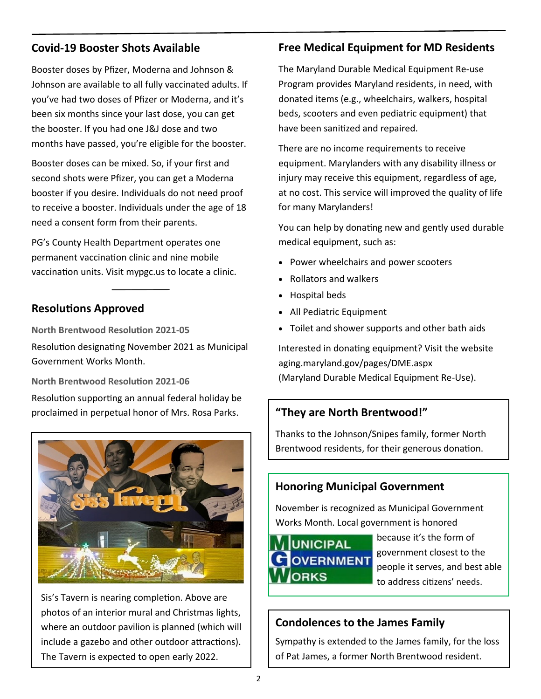## **Covid-19 Booster Shots Available**

Booster doses by Pfizer, Moderna and Johnson & Johnson are available to all fully vaccinated adults. If you've had two doses of Pfizer or Moderna, and it's been six months since your last dose, you can get the booster. If you had one J&J dose and two months have passed, you're eligible for the booster.

Booster doses can be mixed. So, if your first and second shots were Pfizer, you can get a Moderna booster if you desire. Individuals do not need proof to receive a booster. Individuals under the age of 18 need a consent form from their parents.

PG's County Health Department operates one permanent vaccination clinic and nine mobile vaccination units. Visit mypgc.us to locate a clinic.

## **Resolutions Approved**

**North Brentwood Resolution 2021-05** Resolution designating November 2021 as Municipal Government Works Month.

**North Brentwood Resolution 2021-06** Resolution supporting an annual federal holiday be proclaimed in perpetual honor of Mrs. Rosa Parks.



Sis's Tavern is nearing completion. Above are photos of an interior mural and Christmas lights, where an outdoor pavilion is planned (which will include a gazebo and other outdoor attractions). The Tavern is expected to open early 2022.

# **Free Medical Equipment for MD Residents**

The Maryland Durable Medical Equipment Re-use Program provides Maryland residents, in need, with donated items (e.g., wheelchairs, walkers, hospital beds, scooters and even pediatric equipment) that have been sanitized and repaired.

There are no income requirements to receive equipment. Marylanders with any disability illness or injury may receive this equipment, regardless of age, at no cost. This service will improved the quality of life for many Marylanders!

You can help by donating new and gently used durable medical equipment, such as:

- Power wheelchairs and power scooters
- Rollators and walkers
- Hospital beds
- All Pediatric Equipment
- Toilet and shower supports and other bath aids

Interested in donating equipment? Visit the website aging.maryland.gov/pages/DME.aspx (Maryland Durable Medical Equipment Re-Use).

# **"They are North Brentwood!"**

Thanks to the Johnson/Snipes family, former North Brentwood residents, for their generous donation.

# **Honoring Municipal Government**

November is recognized as Municipal Government Works Month. Local government is honored



because it's the form of government closest to the people it serves, and best able to address citizens' needs.

# **Condolences to the James Family**

Sympathy is extended to the James family, for the loss of Pat James, a former North Brentwood resident.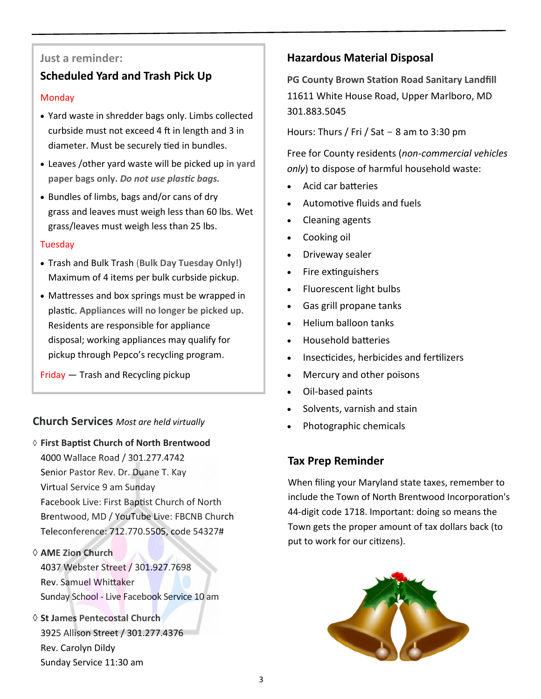#### **Just a reminder:**

# **Scheduled Yard and Trash Pick Up**

#### **Monday**

- Yard waste in shredder bags only. Limbs collected curbside must not exceed 4 ft in length and 3 in diameter. Must be securely tied in bundles.
- Leaves /other yard waste will be picked up **in yard paper bags only.** *Do not use plastic bags.*
- Bundles of limbs, bags and/or cans of dry grass and leaves must weigh less than 60 lbs. Wet grass/leaves must weigh less than 25 lbs.

#### Tuesday

- Trash and Bulk Trash (**Bulk Day Tuesday Only!)**  Maximum of 4 items per bulk curbside pickup.
- Mattresses and box springs must be wrapped in plastic. **Appliances will no longer be picked up.**  Residents are responsible for appliance disposal; working appliances may qualify for pickup through Pepco's recycling program.

Friday — Trash and Recycling pickup

# • Photographic chemicals **Church Services** *Most are held virtually*

- **First Baptist Church of North Brentwood** 4000 Wallace Road / 301.277.4742 Senior Pastor Rev. Dr. Duane T. Kay Virtual Service 9 am Sunday Facebook Live: First Baptist Church of North Brentwood, MD / YouTube Live: FBCNB Church Teleconference: 712.770.5505, code 54327#
- **AME Zion Church** 4037 Webster Street / 301.927.7698 Rev. Samuel Whittaker Sunday School - Live Facebook Service 10 am
- **St James Pentecostal Church** 3925 Allison Street / 301.277.4376 Rev. Carolyn Dildy Sunday Service 11:30 am

# **Hazardous Material Disposal**

**PG County Brown Station Road Sanitary Landfill** 11611 White House Road, Upper Marlboro, MD 301.883.5045

Hours: Thurs / Fri / Sat  $-$  8 am to 3:30 pm

Free for County residents (*non-commercial vehicles only*) to dispose of harmful household waste:

- Acid car batteries
- Automotive fluids and fuels
- Cleaning agents
- Cooking oil
- Driveway sealer
- Fire extinguishers
- Fluorescent light bulbs
- Gas grill propane tanks
- Helium balloon tanks
- Household batteries
- Insecticides, herbicides and fertilizers
- Mercury and other poisons
- Oil-based paints
- Solvents, varnish and stain
- 

#### **Tax Prep Reminder**

When filing your Maryland state taxes, remember to include the Town of North Brentwood Incorporation's 44-digit code 1718. Important: doing so means the Town gets the proper amount of tax dollars back (to put to work for our citizens).